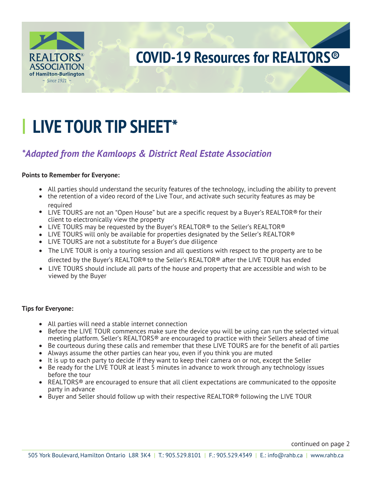

# **LIVE TOUR TIP SHEET\***

# \*Adapted from the Kamloops & District Real Estate Association

### **Points to Remember for Everyone:**

- All parties should understand the security features of the technology, including the ability to prevent the retention of a video record of the Live Tour, and activate such security features as may be
- reguired
- LIVE TOURS are not an "Open House" but are a specific request by a Buyer's REALTOR® for their client to electronically view the property
- LIVE TOURS may be requested by the Buyer's REALTOR® to the Seller's REALTOR®
- LIVE TOURS will only be available for properties designated by the Seller's REALTOR®
- LIVE TOURS are not a substitute for a Buyer's due diligence
- The LIVE TOUR is only a touring session and all questions with respect to the property are to be directed by the Buyer's REALTOR® to the Seller's REALTOR® after the LIVE TOUR has ended
- LIVE TOURS should include all parts of the house and property that are accessible and wish to be viewed by the Buyer

### **Tips for Everyone:**

- All parties will need a stable internet connection
- Before the LIVE TOUR commences make sure the device you will be using can run the selected virtual meeting platform. Seller's REALTORS® are encouraged to practice with their Sellers ahead of time
- Be courteous during these calls and remember that these LIVE TOURS are for the benefit of all parties
- Always assume the other parties can hear you, even if you think you are muted
- It is up to each party to decide if they want to keep their camera on or not, except the Seller
- Be ready for the LIVE TOUR at least 5 minutes in advance to work through any technology issues before the tour
- REALTORS<sup>®</sup> are encouraged to ensure that all client expectations are communicated to the opposite party in advance
- Buyer and Seller should follow up with their respective REALTOR® following the LIVE TOUR

continued on page 2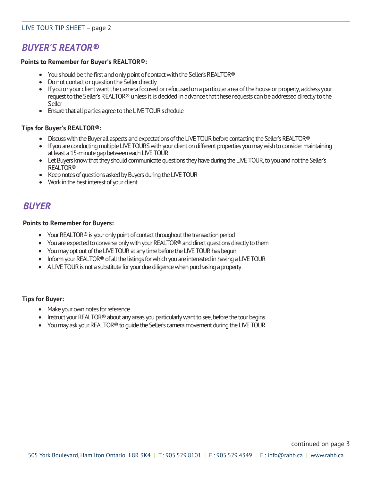### LIVE TOUR TIP SHEET – page 2

# *BUYER'S REATOR®*

#### **Points to Remember for Buyer's REALTOR®:**

- You should be the first and only point of contact with the Seller's REALTOR<sup>®</sup>
- Do not contact or question the Seller directly
- If you or your client want the camera focused or refocused on a particular area of the house or property, address your request to the Seller's REALTOR® unless it is decided in advance that these requests can be addressed directly to the Seller
- Ensure that all parties agree to the LIVE TOUR schedule

#### **Tips for Buyer's REALTOR®:**

- Discuss with the Buyer all aspects and expectations of the LIVE TOUR before contacting the Seller's REALTOR®
- If you are conducting multiple LIVE TOURS with your client on different properties you may wish to consider maintaining at least a 15-minute gap between each LIVE TOUR
- Let Buyers know that they should communicate questions they have during the LIVE TOUR, to you and not the Seller's REALTOR®
- Keep notes of questions asked by Buyers during the LIVE TOUR
- Work in the best interest of your client

## *BUYER*

#### **Points to Remember for Buyers:**

- Your REALTOR<sup>®</sup> is your only point of contact throughout the transaction period
- You are expected to converse only with your REALTOR® and direct questions directly to them
- You may opt out of the LIVE TOUR at any time before the LIVE TOUR has begun
- Inform your REALTOR<sup>®</sup> of all the listings for which you are interested in having a LIVE TOUR
- A LIVE TOUR is not a substitute for your due diligence when purchasing a property

#### **Tips for Buyer:**

- Make your own notes for reference
- Instruct your REALTOR<sup>®</sup> about any areas you particularly want to see, before the tour begins
- You may ask your REALTOR<sup>®</sup> to quide the Seller's camera movement during the LIVE TOUR

continued on page 3